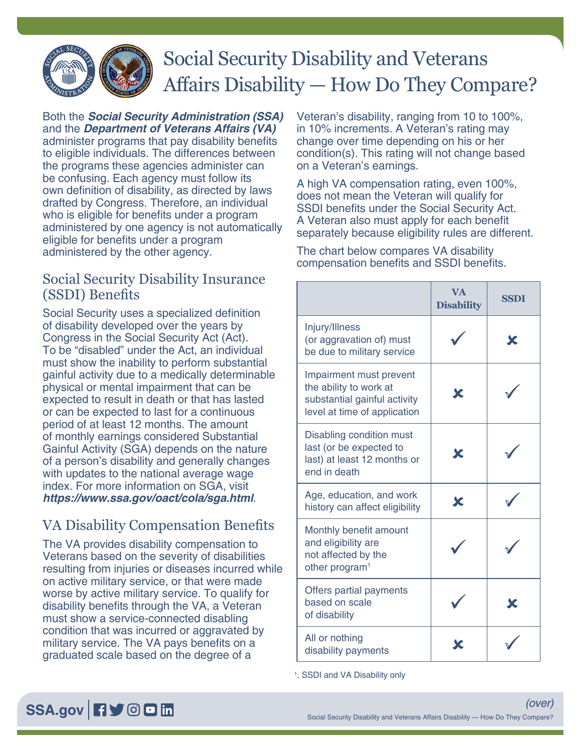

## Social Security Disability and Veterans Affairs Disability — How Do They Compare?

Both the *[Social Security Administration \(SSA\)](https://www.ssa.gov/benefits/disability/)* and the *[Department of Veterans Affairs \(VA\)](https://www.va.gov/disability/)* administer programs that pay disability benefits to eligible individuals. The differences between the programs these agencies administer can be confusing. Each agency must follow its own definition of disability, as directed by laws drafted by Congress. Therefore, an individual who is eligible for benefits under a program administered by one agency is not automatically eligible for benefits under a program administered by the other agency.

## Social Security Disability Insurance (SSDI) Benefits

Social Security uses a specialized definition of disability developed over the years by Congress in the Social Security Act (Act). To be "disabled" under the Act, an individual must show the inability to perform substantial gainful activity due to a medically determinable physical or mental impairment that can be expected to result in death or that has lasted or can be expected to last for a continuous period of at least 12 months. The amount of monthly earnings considered Substantial Gainful Activity (SGA) depends on the nature of a person's disability and generally changes with updates to the national average wage index. For more information on SGA, visit *<https://www.ssa.gov/oact/cola/sga.html>*.

## VA Disability Compensation Benefits

The VA provides disability compensation to Veterans based on the severity of disabilities resulting from injuries or diseases incurred while on active military service, or that were made worse by active military service. To qualify for disability benefits through the VA, a Veteran must show a service-connected disabling condition that was incurred or aggravated by military service. The VA pays benefits on a graduated scale based on the degree of a

Veteran's disability, ranging from 10 to 100%, in 10% increments. A Veteran's rating may change over time depending on his or her condition(s). This rating will not change based on a Veteran's earnings.

A high VA compensation rating, even 100%, does not mean the Veteran will qualify for SSDI benefits under the Social Security Act. A Veteran also must apply for each benefit separately because eligibility rules are different.

The chart below compares VA disability compensation benefits and SSDI benefits.

|                                                                                                                   | <b>VA</b><br><b>Disability</b> | <b>SSDI</b> |
|-------------------------------------------------------------------------------------------------------------------|--------------------------------|-------------|
| Injury/Illness<br>(or aggravation of) must<br>be due to military service                                          |                                | Х           |
| Impairment must prevent<br>the ability to work at<br>substantial gainful activity<br>level at time of application | Х                              |             |
| Disabling condition must<br>last (or be expected to<br>last) at least 12 months or<br>end in death                | X                              |             |
| Age, education, and work<br>history can affect eligibility                                                        | Х                              |             |
| Monthly benefit amount<br>and eligibility are<br>not affected by the<br>other program <sup>1</sup>                |                                |             |
| Offers partial payments<br>based on scale<br>of disability                                                        |                                |             |
| All or nothing<br>disability payments                                                                             |                                |             |

1 . SSDI and VA Disability only

## [SSA.gov](https://www.ssa.gov) **日**》回回面